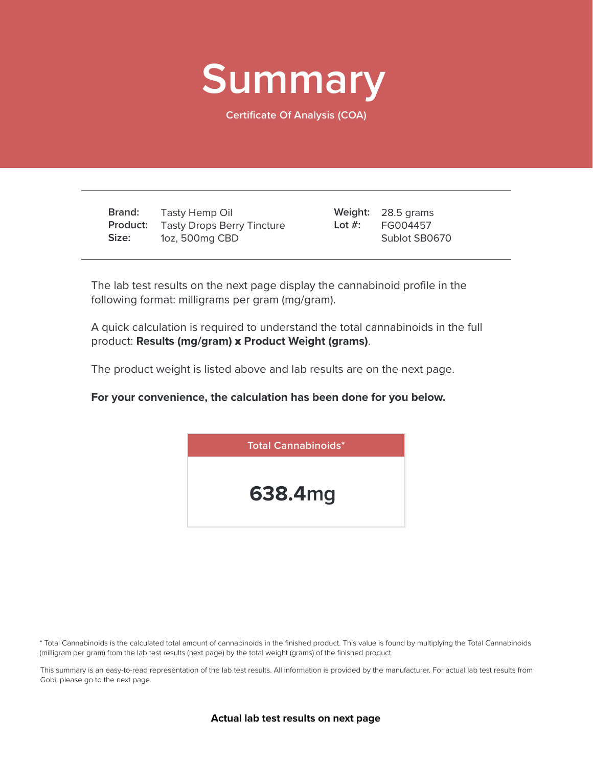

**Certificate Of Analysis (COA)**

**Brand: Product:** Tasty Drops Berry Tincture **Size:** Tasty Hemp Oil 1oz, 500mg CBD

28.5 grams **Weight:** FG004457 Sublot SB0670 **Lot #:**

The lab test results on the next page display the cannabinoid profile in the following format: milligrams per gram (mg/gram).

A quick calculation is required to understand the total cannabinoids in the full product: **Results (mg/gram)** x **Product Weight (grams)**.

The product weight is listed above and lab results are on the next page.

**For your convenience, the calculation has been done for you below.**



\* Total Cannabinoids is the calculated total amount of cannabinoids in the finished product. This value is found by multiplying the Total Cannabinoids (milligram per gram) from the lab test results (next page) by the total weight (grams) of the finished product.

This summary is an easy-to-read representation of the lab test results. All information is provided by the manufacturer. For actual lab test results from Gobi, please go to the next page.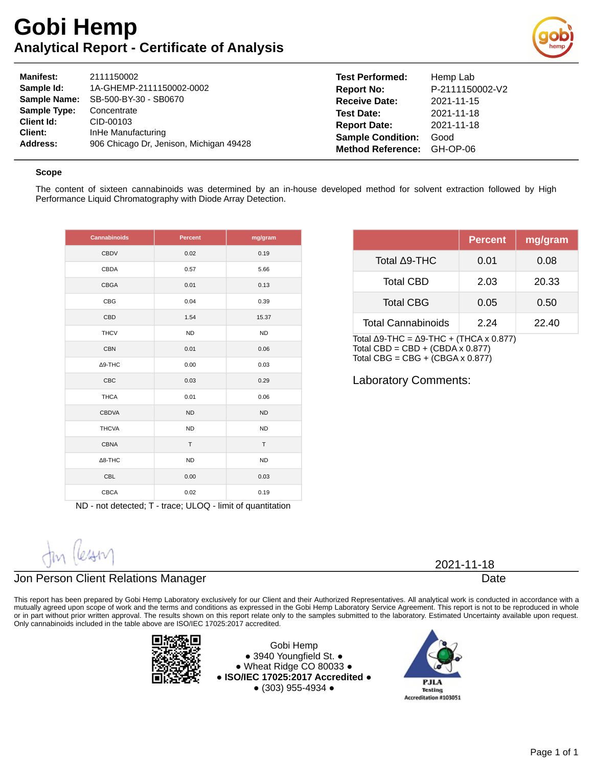## **Gobi Hemp Analytical Report - Certificate of Analysis**



| <b>Manifest:</b>    | 2111150002                              | <b>Test Performed:</b>   | Hemp Lab        |
|---------------------|-----------------------------------------|--------------------------|-----------------|
| Sample Id:          | 1A-GHEMP-2111150002-0002                | <b>Report No:</b>        | P-2111150002-V2 |
| <b>Sample Name:</b> | SB-500-BY-30 - SB0670                   | <b>Receive Date:</b>     | 2021-11-15      |
| <b>Sample Type:</b> | Concentrate                             | <b>Test Date:</b>        | 2021-11-18      |
| <b>Client Id:</b>   | CID-00103                               | <b>Report Date:</b>      | 2021-11-18      |
| Client:             | InHe Manufacturing                      | <b>Sample Condition:</b> | Good            |
| Address:            | 906 Chicago Dr. Jenison, Michigan 49428 | <b>Method Reference:</b> | GH-OP-06        |

#### **Scope**

The content of sixteen cannabinoids was determined by an in-house developed method for solvent extraction followed by High Performance Liquid Chromatography with Diode Array Detection.

| <b>Cannabinoids</b> | <b>Percent</b> | mg/gram   |
|---------------------|----------------|-----------|
| <b>CBDV</b>         | 0.02           | 0.19      |
| CBDA                | 0.57           | 5.66      |
| <b>CBGA</b>         | 0.01           | 0.13      |
| <b>CBG</b>          | 0.04           | 0.39      |
| CBD                 | 1.54           | 15.37     |
| <b>THCV</b>         | <b>ND</b>      | <b>ND</b> |
| <b>CBN</b>          | 0.01           | 0.06      |
| ∆9-THC              | 0.00           | 0.03      |
| <b>CBC</b>          | 0.03           | 0.29      |
| <b>THCA</b>         | 0.01           | 0.06      |
| <b>CBDVA</b>        | <b>ND</b>      | <b>ND</b> |
| <b>THCVA</b>        | <b>ND</b>      | <b>ND</b> |
| <b>CBNA</b>         | T.             | T         |
| $\Delta$ 8-THC      | <b>ND</b>      | <b>ND</b> |
| <b>CBL</b>          | 0.00           | 0.03      |
| <b>CBCA</b>         | 0.02           | 0.19      |

ND - not detected; T - trace; ULOQ - limit of quantitation

| Jin Cesany |
|------------|

### Jon Person Client Relations Manager

This report has been prepared by Gobi Hemp Laboratory exclusively for our Client and their Authorized Representatives. All analytical work is conducted in accordance with a mutually agreed upon scope of work and the terms and conditions as expressed in the Gobi Hemp Laboratory Service Agreement. This report is not to be reproduced in whole or in part without prior written approval. The results shown on this report relate only to the samples submitted to the laboratory. Estimated Uncertainty available upon request. Only cannabinoids included in the table above are ISO/IEC 17025:2017 accredited.



Gobi Hemp ● 3940 Youngfield St. ● ● Wheat Ridge CO 80033 ● **● ISO/IEC 17025:2017 Accredited ●** ● (303) 955-4934 ●



|                           | <b>Percent</b> | mg/gram |
|---------------------------|----------------|---------|
| Total A9-THC              | 0.01           | 0.08    |
| <b>Total CBD</b>          | 2.03           | 20.33   |
| <b>Total CBG</b>          | 0.05           | 0.50    |
| <b>Total Cannabinoids</b> | 2.24           | 22.40   |

Total Δ9-THC =  $Δ9-THC + (THCA × 0.877)$ Total CBD = CBD +  $(CBDA \times 0.877)$ Total CBG =  $CBG + (CBGA \times 0.877)$ 

Laboratory Comments:

2021-11-18

Date